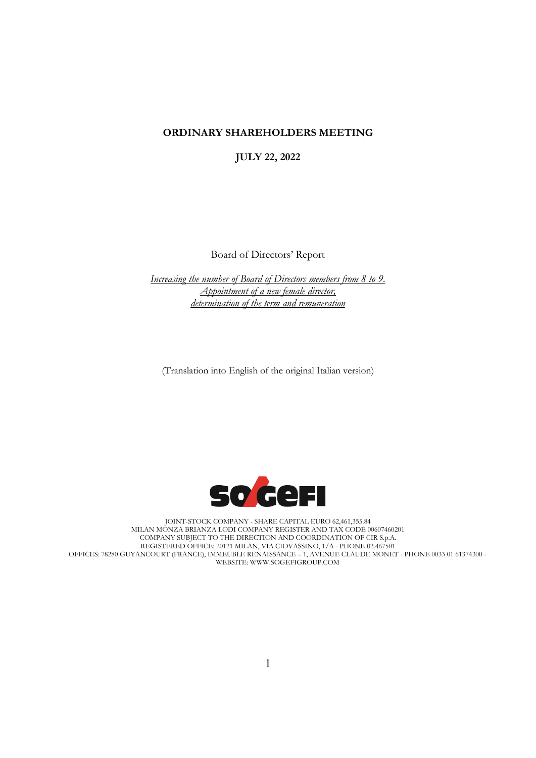## **ORDINARY SHAREHOLDERS MEETING**

**JULY 22, 2022**

Board of Directors' Report

*Increasing the number of Board of Directors members from 8 to 9. Appointment of a new female director, determination of the term and remuneration*

(Translation into English of the original Italian version)



JOINT-STOCK COMPANY - SHARE CAPITAL EURO 62,461,355.84 MILAN MONZA BRIANZA LODI COMPANY REGISTER AND TAX CODE 00607460201 COMPANY SUBJECT TO THE DIRECTION AND COORDINATION OF CIR S.p.A. REGISTERED OFFICE: 20121 MILAN, VIA CIOVASSINO, 1/A - PHONE 02.467501 OFFICES: 78280 GUYANCOURT (FRANCE), IMMEUBLE RENAISSANCE – 1, AVENUE CLAUDE MONET - PHONE 0033 01 61374300 - WEBSITE: WWW.SOGEFIGROUP.COM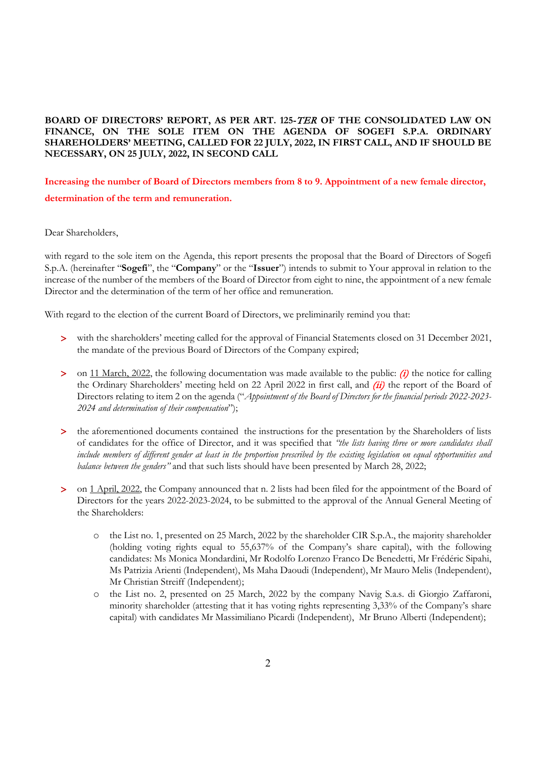**BOARD OF DIRECTORS' REPORT, AS PER ART. 125-**TER **OF THE CONSOLIDATED LAW ON FINANCE, ON THE SOLE ITEM ON THE AGENDA OF SOGEFI S.P.A. ORDINARY SHAREHOLDERS' MEETING, CALLED FOR 22 JULY, 2022, IN FIRST CALL, AND IF SHOULD BE NECESSARY, ON 25 JULY, 2022, IN SECOND CALL**

**Increasing the number of Board of Directors members from 8 to 9. Appointment of a new female director, determination of the term and remuneration.**

Dear Shareholders,

with regard to the sole item on the Agenda, this report presents the proposal that the Board of Directors of Sogefi S.p.A. (hereinafter "**Sogefi**", the "**Company**" or the "**Issuer**") intends to submit to Your approval in relation to the increase of the number of the members of the Board of Director from eight to nine, the appointment of a new female Director and the determination of the term of her office and remuneration.

With regard to the election of the current Board of Directors, we preliminarily remind you that:

- > with the shareholders' meeting called for the approval of Financial Statements closed on 31 December 2021, the mandate of the previous Board of Directors of the Company expired;
- $>$  on 11 March, 2022, the following documentation was made available to the public: (i) the notice for calling the Ordinary Shareholders' meeting held on 22 April 2022 in first call, and  $(ii)$  the report of the Board of Directors relating to item 2 on the agenda ("*Appointment of the Board of Directors for the financial periods 2022-2023- 2024 and determination of their compensation*");
- > the aforementioned documents contained the instructions for the presentation by the Shareholders of lists of candidates for the office of Director, and it was specified that *"the lists having three or more candidates shall include members of different gender at least in the proportion prescribed by the existing legislation on equal opportunities and balance between the genders"* and that such lists should have been presented by March 28, 2022;
- > on 1 April, 2022, the Company announced that n. 2 lists had been filed for the appointment of the Board of Directors for the years 2022-2023-2024, to be submitted to the approval of the Annual General Meeting of the Shareholders:
	- the List no. 1, presented on 25 March, 2022 by the shareholder CIR S.p.A., the majority shareholder (holding voting rights equal to 55,637% of the Company's share capital), with the following candidates: Ms Monica Mondardini, Mr Rodolfo Lorenzo Franco De Benedetti, Mr Frédéric Sipahi, Ms Patrizia Arienti (Independent), Ms Maha Daoudi (Independent), Mr Mauro Melis (Independent), Mr Christian Streiff (Independent);
	- o the List no. 2, presented on 25 March, 2022 by the company Navig S.a.s. di Giorgio Zaffaroni, minority shareholder (attesting that it has voting rights representing 3,33% of the Company's share capital) with candidates Mr Massimiliano Picardi (Independent), Mr Bruno Alberti (Independent);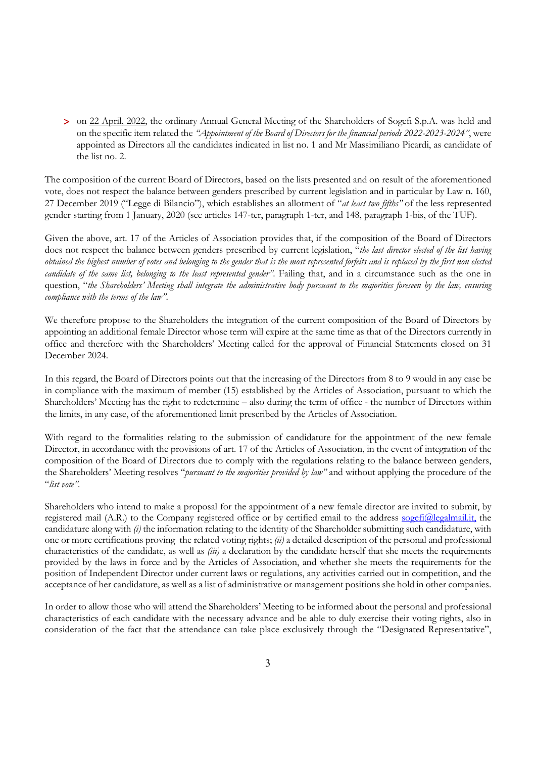> on 22 April, 2022, the ordinary Annual General Meeting of the Shareholders of Sogefi S.p.A. was held and on the specific item related the *"Appointment of the Board of Directors for the financial periods 2022-2023-2024"*, were appointed as Directors all the candidates indicated in list no. 1 and Mr Massimiliano Picardi, as candidate of the list no. 2.

The composition of the current Board of Directors, based on the lists presented and on result of the aforementioned vote, does not respect the balance between genders prescribed by current legislation and in particular by Law n. 160, 27 December 2019 ("Legge di Bilancio"), which establishes an allotment of "*at least two fifths"* of the less represented gender starting from 1 January, 2020 (see articles 147-ter, paragraph 1-ter, and 148, paragraph 1-bis, of the TUF).

Given the above, art. 17 of the Articles of Association provides that, if the composition of the Board of Directors does not respect the balance between genders prescribed by current legislation, "*the last director elected of the list having obtained the highest number of votes and belonging to the gender that is the most represented forfeits and is replaced by the first non elected candidate of the same list, belonging to the least represented gender"*. Failing that, and in a circumstance such as the one in question, "*the Shareholders' Meeting shall integrate the administrative body pursuant to the majorities foreseen by the law, ensuring compliance with the terms of the law"*.

We therefore propose to the Shareholders the integration of the current composition of the Board of Directors by appointing an additional female Director whose term will expire at the same time as that of the Directors currently in office and therefore with the Shareholders' Meeting called for the approval of Financial Statements closed on 31 December 2024.

In this regard, the Board of Directors points out that the increasing of the Directors from 8 to 9 would in any case be in compliance with the maximum of member (15) established by the Articles of Association, pursuant to which the Shareholders' Meeting has the right to redetermine – also during the term of office - the number of Directors within the limits, in any case, of the aforementioned limit prescribed by the Articles of Association.

With regard to the formalities relating to the submission of candidature for the appointment of the new female Director, in accordance with the provisions of art. 17 of the Articles of Association, in the event of integration of the composition of the Board of Directors due to comply with the regulations relating to the balance between genders, the Shareholders' Meeting resolves "*pursuant to the majorities provided by law"* and without applying the procedure of the "*list vote"*.

Shareholders who intend to make a proposal for the appointment of a new female director are invited to submit, by registered mail (A.R.) to the Company registered office or by certified email to the address [sogefi@legalmail.it,](mailto:sogefi@legalmail.it) the candidature along with *(i)* the information relating to the identity of the Shareholder submitting such candidature, with one or more certifications proving the related voting rights; *(ii)* a detailed description of the personal and professional characteristics of the candidate, as well as *(iii)* a declaration by the candidate herself that she meets the requirements provided by the laws in force and by the Articles of Association, and whether she meets the requirements for the position of Independent Director under current laws or regulations, any activities carried out in competition, and the acceptance of her candidature, as well as a list of administrative or management positions she hold in other companies.

In order to allow those who will attend the Shareholders' Meeting to be informed about the personal and professional characteristics of each candidate with the necessary advance and be able to duly exercise their voting rights, also in consideration of the fact that the attendance can take place exclusively through the "Designated Representative",